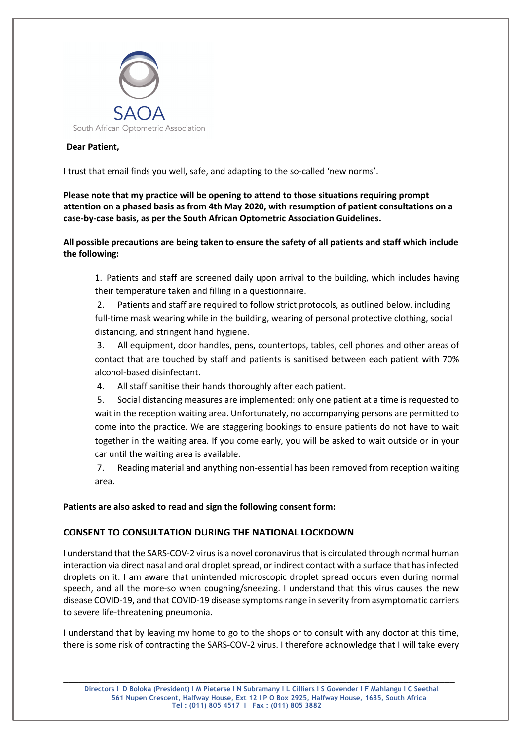

## **Dear Patient,**

I trust that email finds you well, safe, and adapting to the so-called 'new norms'.

**Please note that my practice will be opening to attend to those situations requiring prompt attention on a phased basis as from 4th May 2020, with resumption of patient consultations on a case-by-case basis, as per the South African Optometric Association Guidelines.**

**All possible precautions are being taken to ensure the safety of all patients and staff which include the following:**

1. Patients and staff are screened daily upon arrival to the building, which includes having their temperature taken and filling in a questionnaire.

2. Patients and staff are required to follow strict protocols, as outlined below, including full-time mask wearing while in the building, wearing of personal protective clothing, social distancing, and stringent hand hygiene.

3. All equipment, door handles, pens, countertops, tables, cell phones and other areas of contact that are touched by staff and patients is sanitised between each patient with 70% alcohol-based disinfectant.

4. All staff sanitise their hands thoroughly after each patient.

5. Social distancing measures are implemented: only one patient at a time is requested to wait in the reception waiting area. Unfortunately, no accompanying persons are permitted to come into the practice. We are staggering bookings to ensure patients do not have to wait together in the waiting area. If you come early, you will be asked to wait outside or in your car until the waiting area is available.

7. Reading material and anything non-essential has been removed from reception waiting area.

**Patients are also asked to read and sign the following consent form:**

## **CONSENT TO CONSULTATION DURING THE NATIONAL LOCKDOWN**

I understand that the SARS-COV-2 virus is a novel coronavirus that is circulated through normal human interaction via direct nasal and oral droplet spread, or indirect contact with a surface that has infected droplets on it. I am aware that unintended microscopic droplet spread occurs even during normal speech, and all the more-so when coughing/sneezing. I understand that this virus causes the new disease COVID-19, and that COVID-19 disease symptoms range in severity from asymptomatic carriers to severe life-threatening pneumonia.

I understand that by leaving my home to go to the shops or to consult with any doctor at this time, there is some risk of contracting the SARS-COV-2 virus. I therefore acknowledge that I will take every

**\_\_\_\_\_\_\_\_\_\_\_\_\_\_\_\_\_\_\_\_\_\_\_\_\_\_\_\_\_\_\_\_\_\_\_\_\_\_\_\_\_\_\_\_\_\_\_\_\_\_\_\_\_\_\_\_\_\_\_\_\_\_\_\_\_\_\_\_\_\_\_\_\_\_\_\_**